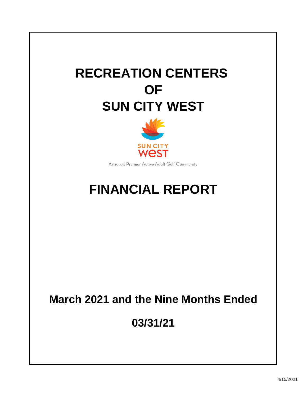# **RECREATION CENTERS OF SUN CITY WEST**



Arizona's Premier Active Adult Golf Community

## **FINANCIAL REPORT**

## **March 2021 and the Nine Months Ended**

**03/31/21**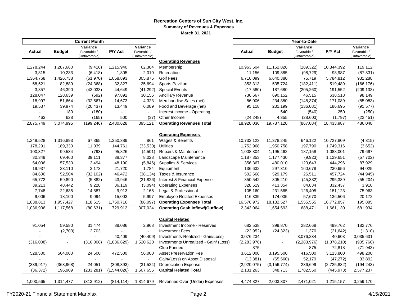#### **Recreation Centers of Sun City West, Inc. Summary of Revenues & Expenses**

**March 31, 2021**

|                          |                | <b>Current Month</b> |             |                | Year-to-Date                                |                          |                          |               |             |               |  |  |  |
|--------------------------|----------------|----------------------|-------------|----------------|---------------------------------------------|--------------------------|--------------------------|---------------|-------------|---------------|--|--|--|
|                          |                | Variance             |             | Variance       |                                             |                          |                          | Variance      |             | Variance      |  |  |  |
| <b>Actual</b>            | <b>Budget</b>  | Favorable /          | P/Y Act     | Favorable /    |                                             | <b>Actual</b>            | <b>Budget</b>            | Favorable /   | P/Y Act     | Favorable /   |  |  |  |
|                          |                | (Unfavorable)        |             | (Unfavorable)  | <b>Operating Revenues</b>                   |                          |                          | (Unfavorable) |             | (Unfavorable) |  |  |  |
| 1,278,244                | 1,287,660      | (9, 416)             | 1,215,940   | 62,304         | Membership                                  | 10,963,504               | 11,152,826               | (189, 322)    | 10,844,392  | 119,112       |  |  |  |
| 3,815                    | 10,233         | (6, 418)             | 1,805       | 2,010          | Recreation                                  | 11,156                   | 109,885                  | (98, 729)     | 98,987      | (87, 831)     |  |  |  |
| 1,364,768                | 1,426,738      | (61,970)             | 1,058,893   | 305,875        | <b>Golf Fees</b>                            | 6,716,099                | 6,640,380                | 75,719        | 5,784,812   | 931,288       |  |  |  |
| 58,521                   | 82,889         | (24, 368)            | 32,827      | 25,694         | Sports Pavilion                             | 353,313                  | 535,724                  | (182, 411)    | 519,489     | (166, 176)    |  |  |  |
| 3,357                    | 46,390         | (43,033)             | 44,649      | (41, 292)      | <b>Special Events</b>                       | (17,580)                 | 187,680                  | (205, 260)    | 191,552     | (209, 133)    |  |  |  |
| 128,047                  | 128,639        | (592)                | 97,892      | 30,156         | <b>Ancillary Revenue</b>                    | 736,667                  | 690,152                  | 46,515        | 638,518     | 98,149        |  |  |  |
| 18,997                   | 51,664         | (32,667)             | 14,673      | 4,323          | Merchandise Sales (net)                     | 86,006                   | 234,380                  | (148, 374)    | 171,089     | (85,083)      |  |  |  |
|                          | 39,974         |                      |             | 6,089          | Food and Beverage (net)                     |                          | 231,199                  |               | 186,695     |               |  |  |  |
| 19,537<br>$\blacksquare$ |                | (20, 437)            | 13,449      | $\blacksquare$ |                                             | 95,118<br>$\blacksquare$ |                          | (136,081)     |             | (91, 577)     |  |  |  |
| 463                      | 180<br>628     | (180)                | 500         |                | Interest Income - Operating<br>Other Income |                          | 540                      | (540)         | 250         | (250)         |  |  |  |
|                          |                | (165)                |             | (37)           |                                             | (24, 248)                | 4,355<br>19,787,120      | (28, 603)     | (1,797)     | (22, 451)     |  |  |  |
| 2,875,749                | 3,074,995      | (199, 246)           | 2,480,628   | 395,121        | <b>Operating Revenues Total</b>             | 18,920,036               |                          | (867, 084)    | 18,433,987  | 486,048       |  |  |  |
|                          |                |                      |             |                | <b>Operating Expenses</b>                   |                          |                          |               |             |               |  |  |  |
|                          |                |                      |             |                |                                             |                          |                          |               |             |               |  |  |  |
| 1,249,528                | 1,316,893      | 67,365               | 1,250,389   | 861            | Wages & Benefits                            | 10,732,123               | 11,378,245               | 646,122       | 10,727,809  | (4, 315)      |  |  |  |
| 178,291                  | 189,330        | 11,039               | 144,761     | (33,530)       | <b>Utilities</b>                            | 1,752,968                | 1,950,758                | 197,790       | 1,749,316   | (3,652)       |  |  |  |
| 100,327                  | 99,534         | (793)                | 95,826      | (4,501)        | Repairs & Maintenance                       | 1,008,304                | 1,195,462                | 187,158       | 1,088,001   | 79,697        |  |  |  |
| 30,349                   | 69,460         | 39,111               | 38,377      | 8,028          | Landscape Maintenance                       | 1,187,353                | 1,177,430                | (9,923)       | 1,129,651   | (57, 702)     |  |  |  |
| 54,036                   | 57,530         | 3,494                | 48,190      | (5,846)        | Supplies & Services                         | 356,367                  | 480,010                  | 123,643       | 444,296     | 87,929        |  |  |  |
| 19,937                   | 23,110         | 3,173                | 21,720      | 1,784          | Equipment                                   | 136,632                  | 297,310                  | 160,678       | 230,656     | 94,025        |  |  |  |
| 84,606                   | 52,504         | (32, 102)            | 46,472      | (38, 134)      | Taxes & Insurance                           | 502,668                  | 529,179                  | 26,511        | 457,724     | (44, 945)     |  |  |  |
| 65,772                   | 59,890         | (5,882)              | 43,946      | (21, 826)      | Interest & Financial Expense                | 350,542                  | 305,210                  | (45, 332)     | 295,339     | (55, 204)     |  |  |  |
| 39,213                   | 48,442         | 9,228                | 36,119      | (3,094)        | <b>Operating Expenses</b>                   | 328,519                  | 413,354                  | 84,834        | 332,437     | 3,918         |  |  |  |
| 7,748                    | 22,635         | 14,887               | 9,913       | 2,165          | Legal & Professional                        | 105,160                  | 231,565                  | 126,405       | 181,123     | 75,963        |  |  |  |
| 9,006                    | 18,100         | 9,094                | 15,003      | 5,997          | <b>Employee Related Expenses</b>            | 116,335                  | 174,005                  | 57,670        | 136,506     | 20,172        |  |  |  |
| 1,838,813                | 1,957,427      | 118,615              | 1,750,716   | (88,097)       | <b>Operating Expenses Total</b>             | 16,576,972               | 18,132,527               | 1,555,555     | 16,772,857  | 195,885       |  |  |  |
| 1,036,936                | 1,117,568      | (80, 631)            | 729,912     | 307,024        | <b>Operating Cash Inflow/(Outflow)</b>      | 2,343,064                | 1,654,593                | 688,471       | 1,661,130   | 681,934       |  |  |  |
|                          |                |                      |             |                |                                             |                          |                          |               |             |               |  |  |  |
|                          |                |                      |             |                | <b>Capital Related</b>                      |                          |                          |               |             |               |  |  |  |
| 91,054                   | 59,580         | 31,474               | 88,086      | 2,968          | Investment Income - Reserves                | 682,538                  | 399,870                  | 282,668       | 499,762     | 182,776       |  |  |  |
|                          | (2,703)        | 2,703                |             | $\sim$         | <b>Investment Fees</b>                      | (22, 952)                | (24, 323)                | 1,370         | (21, 642)   | (1, 310)      |  |  |  |
|                          |                |                      | 40,409      | (40, 409)      | Investments-Realized - Gain/Loss)           | 3,076,234                | $\blacksquare$           | 3,076,234     | 40,603      | 3,035,631     |  |  |  |
| (316,008)                | $\blacksquare$ | (316,008)            | (1,836,629) | 1,520,620      | Investments Unrealized - Gain/ (Loss)       | (2, 283, 976)            | $\overline{\phantom{a}}$ | (2, 283, 976) | (1,378,210) | (905, 766)    |  |  |  |
|                          |                |                      |             |                | Club Funded                                 | 875                      |                          | 875           | 72,818      | (71, 943)     |  |  |  |
| 528,500                  | 504,000        | 24,500               | 472,500     | 56,000         | <b>Asset Preservation Fee</b>               | 3,612,000                | 3,195,500                | 416,500       | 3,113,800   | 498,200       |  |  |  |
|                          |                |                      |             |                | Gain/(Loss) on Asset Disposal               | (13, 381)                | (65, 560)                | 52,179        | (47, 272)   | 33,892        |  |  |  |
| (339, 917)               | (363,968)      | 24,051               | (308, 393)  | (31, 524)      | <b>Depreciation Expense</b>                 | (2,920,075)              | (3, 156, 774)            | 236,699       | (2,725,832) | (194, 243)    |  |  |  |
| (36, 372)                | 196,909        | (233, 281)           | (1,544,026) | 1,507,655      | <b>Capital Related Total</b>                | 2,131,263                | 348,713                  | 1,782,550     | (445, 973)  | 2,577,237     |  |  |  |
|                          |                |                      |             |                |                                             |                          |                          |               |             |               |  |  |  |
| 1,000,565                | 1,314,477      | (313, 912)           | (814, 114)  | 1,814,679      | Revenues Over (Under) Expenses              | 4,474,327                | 2,003,307                | 2,471,021     | 1,215,157   | 3,259,170     |  |  |  |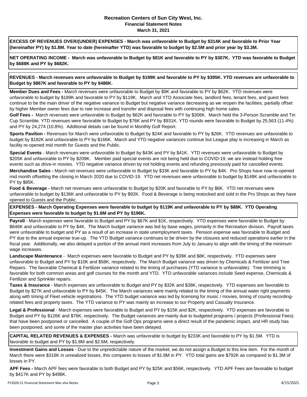#### **Recreation Centers of Sun City West, Inc. Financial Statement Notes March 31, 2021**

**EXCESS OF REVENUES OVER/(UNDER) EXPENSES - March was unfavorable to Budget by \$314K and favorable to Prior Year (hereinafter PY) by \$1.8M. Year to date (hereinafter YTD) was favorable to budget by \$2.5M and prior year by \$3.3M.** 

**NET OPERATING INCOME - March was unfavorable to Budget by \$81K and favorable to PY by \$307K. YTD was favorable to Budget by \$688K and PY by \$682K.**

**REVENUES - March revenues were unfavorable to Budget by \$199K and favorable to PY by \$395K. YTD revenues are unfavorable to Budget by \$867K and favorable to PY by \$486K.**

**Member Dues and Fees -** March revenues were unfavorable to Budget by \$9K and favorable to PY by \$62K. YTD revenues were unfavorable to budget by \$189K and favorable to PY by \$119K. March and YTD Associate fees, landlord fees, tenant fees, and guest fees continue to be the main driver of the negative variance to Budget but negative variance decreasing as we reopen the facilities, partially offset by higher Member owner fees due to rate increase and transfer and disposal fees with continuing high home sales.

**Golf Fees -** March revenues were unfavorable to Budget by \$62K and favorable to PY by \$306K. March held the 3-Person Scramble and Tin Cup Scramble. YTD revenues were favorable to Budget by \$76K and PY by \$931K. YTD rounds were favorable to Budget by 25,563 (11.4%) and PY by 24,274 (10.8%). Additional details can be found in Monthly Golf Report.

**Sports Pavilion -** Revenues for March were unfavorable to Budget by \$24K and favorable to PY by \$26K. YTD revenues are unfavorable to budget by \$182K and unfavorable to PY by \$166K. March and YTD negative variances continue but League play is increasing in March as facility re-opened mid month for Guests and the Public.

**Merchandise Sales -** March net revenues were unfavorable to Budget by \$33K and favorable to PY by \$4K. Pro Shops have now re-opened mid month offsetting the closing in March 2020 due to COVID-19. YTD net revenues were unfavorable to budget by \$148K and unfavorable to PY by \$85K. **Special Events** - March revenues were unfavorable to Budget by \$43K and PY by \$41K. YTD revenues were unfavorable to Budget by \$205K and unfavorable to PY by \$209K. Member paid special events are not being held due to COVID-19, we are instead holding free events such as drive-in movies. YTD negative variance driven by not holding events and refunding previously paid for cancelled events.

**Food & Beverage -** March net revenues were unfavorable to Budget by \$20K and favorable to PY by \$6K. YTD net revenues were unfavorable to budget by \$136K and unfavorable to PY by \$92K. Food & Beverage is being restocked and sold in the Pro Shops as they have opened to Guests and the Public.

**EXPENSES - March Operating Expenses were favorable to budget by \$119K and unfavorable to PY by \$88K. YTD Operating Expenses were favorable to budget by \$1.6M and PY by \$196K.**

**Payroll** - March expenses were favorable to Budget and PY by \$67K and \$1K, respectively. YTD expenses were favorable to Budget by \$646K and unfavorable to PY by \$4K. The March budget variance was led by base wages, primarily in the Recreation division. Payroll taxes were unfavorable to budget and PY as a result of an increase in state unemployment taxes. Pension expense was favorable to Budget and PY due to the annual expense true-up. The YTD Budget variance continues to be driven by the closures and reduced operations earlier in the fiscal year. Additionally, we also delayed a portion of the annual merit increases from July to January to align with the timing of the minimum wage increases.

**Landscape Maintenance** - March expenses were favorable to Budget and PY by \$39K and \$8K, respectively. YTD expenses were unfavorable to Budget and PY by \$10K and \$58K, respectively. The March Budget variance was driven by Chemicals & Fertilizer and Tree Repairs. The favorable Chemical & Fertilizer variance related to the timing of purchases (YTD variance is unfavorable). Tree trimming is favorable for both common areas and golf courses for the month and YTD. YTD unfavorable variances include Seed expense, Chemicals & Fertilizer and Sprinkler repairs.

**Taxes & Insurance** - March expenses are unfavorable to Budget and PY by \$32K and \$38K, respectively. YTD expenses are favorable to Budget by \$27K and unfavorable to PY by \$45K. The March variances were mainly related to the timing of the annual water right payments along with timing of Fleet vehicle registrations. The YTD budget variance was led by licensing for music / movies, timing of county recordingrelated fees and property taxes. The YTD variance to PY was mainly an increase to our Property and Casualty Insurance.

**Legal & Professional** - March expenses were favorable to Budget and PY by \$15K and \$2K, respectively. YTD expenses are favorable to Budget and PY by \$126K and \$76K, respectively. The Budget variances are mainly due to budgeted programs / projects (Professional Fees) that have been postponed or cancelled. A couple of the Golf Ops programs were a direct result of the pandemic impact, and HR study has been postponed, and some of the master plan activities have been delayed.

**CAPITAL RELATED REVENUES & EXPENSES -** March was unfavorable to budget by \$233K and favorable to PY by \$1.5M. YTD is favorable to budget and PY by \$1.8M and \$2.6M, respectively.

**Investment Gains and Losses** - Due to the unpredictable nature of the market, we do not assign a Budget to this line item. For the month of March there were \$316K in unrealized losses, this compares to losses of \$1.8M in PY. YTD total gains are \$792K as compared to \$1.3M of losses in PY.

**APF Fees -** March APF fees were favorable to both Budget and PY by \$25K and \$56K, respectively. YTD APF Fees are favorable to budget by \$417K and PY by \$498K.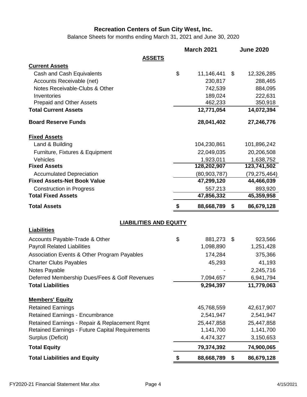Balance Sheets for months ending March 31, 2021 and June 30, 2020

|                                                              |    | <b>March 2021</b>     | <b>June 2020</b>      |
|--------------------------------------------------------------|----|-----------------------|-----------------------|
| <b>ASSETS</b>                                                |    |                       |                       |
| <b>Current Assets</b>                                        |    |                       |                       |
| Cash and Cash Equivalents                                    | \$ | 11,146,441            | \$<br>12,326,285      |
| Accounts Receivable (net)                                    |    | 230,817               | 288,465               |
| Notes Receivable-Clubs & Other                               |    | 742,539               | 884,095               |
| Inventories                                                  |    | 189,024               | 222,631               |
| <b>Prepaid and Other Assets</b>                              |    | 462,233               | 350,918               |
| <b>Total Current Assets</b>                                  |    | 12,771,054            | 14,072,394            |
| <b>Board Reserve Funds</b>                                   |    | 28,041,402            | 27,246,776            |
| <b>Fixed Assets</b>                                          |    |                       |                       |
| Land & Building                                              |    | 104,230,861           | 101,896,242           |
| Furniture, Fixtures & Equipment                              |    | 22,049,035            | 20,206,508            |
| Vehicles                                                     |    | 1,923,011             | 1,638,752             |
| <b>Fixed Assets</b>                                          |    | 128,202,907           | 123,741,502           |
| <b>Accumulated Depreciation</b>                              |    | (80, 903, 787)        | (79, 275, 464)        |
| <b>Fixed Assets-Net Book Value</b>                           |    | 47,299,120            | 44,466,039            |
| <b>Construction in Progress</b><br><b>Total Fixed Assets</b> |    | 557,213<br>47,856,332 | 893,920<br>45,359,958 |
|                                                              |    |                       |                       |
| <b>Total Assets</b>                                          | S  | 88,668,789            | \$<br>86,679,128      |
| <b>LIABILITIES AND EQUITY</b>                                |    |                       |                       |
| <b>Liabilities</b>                                           |    |                       |                       |
| Accounts Payable-Trade & Other                               | \$ | 881,273               | \$<br>923,566         |
| <b>Payroll Related Liabilities</b>                           |    | 1,098,890             | 1,251,428             |
| Association Events & Other Program Payables                  |    | 174,284               | 375,366               |
| <b>Charter Clubs Payables</b>                                |    | 45,293                | 41,193                |
| Notes Payable                                                |    |                       | 2,245,716             |
| Deferred Membership Dues/Fees & Golf Revenues                |    | 7,094,657             | 6,941,794             |
| <b>Total Liabilities</b>                                     |    | 9,294,397             | 11,779,063            |
| <b>Members' Equity</b>                                       |    |                       |                       |
| <b>Retained Earnings</b>                                     |    | 45,768,559            | 42,617,907            |
| <b>Retained Earnings - Encumbrance</b>                       |    | 2,541,947             | 2,541,947             |
| Retained Earnings - Repair & Replacement Rqmt                |    | 25,447,858            | 25,447,858            |
| <b>Retained Earnings - Future Capital Requirements</b>       |    | 1,141,700             | 1,141,700             |
| Surplus (Deficit)                                            |    | 4,474,327             | 3,150,653             |
| <b>Total Equity</b>                                          |    | 79,374,392            | 74,900,065            |
| <b>Total Liabilities and Equity</b>                          | \$ | 88,668,789            | \$<br>86,679,128      |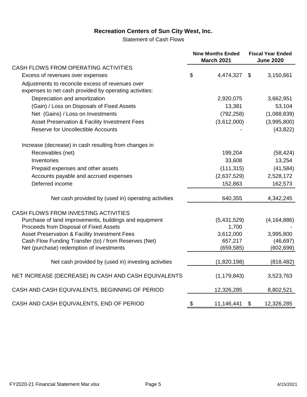Statement of Cash Flows

|                                                                                                            | <b>Nine Months Ended</b><br><b>March 2021</b> | <b>Fiscal Year Ended</b><br><b>June 2020</b> |               |  |
|------------------------------------------------------------------------------------------------------------|-----------------------------------------------|----------------------------------------------|---------------|--|
| CASH FLOWS FROM OPERATING ACTIVITIES                                                                       |                                               |                                              |               |  |
| Excess of revenues over expenses                                                                           | \$<br>4,474,327                               | \$                                           | 3,150,661     |  |
| Adjustments to reconcile excess of revenues over<br>expenses to net cash provided by operating activities: |                                               |                                              |               |  |
| Depreciation and amortization                                                                              | 2,920,075                                     |                                              | 3,662,951     |  |
| (Gain) / Loss on Disposals of Fixed Assets                                                                 | 13,381                                        |                                              | 53,104        |  |
| Net (Gains) / Loss on Investments                                                                          | (792, 258)                                    |                                              | (1,088,839)   |  |
| Asset Preservation & Facility Investment Fees                                                              | (3,612,000)                                   |                                              | (3,995,800)   |  |
| <b>Reserve for Uncollectible Accounts</b>                                                                  |                                               |                                              | (43, 822)     |  |
| Increase (decrease) in cash resulting from changes in                                                      |                                               |                                              |               |  |
| Receivables (net)                                                                                          | 199,204                                       |                                              | (58, 424)     |  |
| Inventories                                                                                                | 33,608                                        |                                              | 13,254        |  |
| Prepaid expenses and other assets                                                                          | (111, 315)                                    |                                              | (41, 584)     |  |
| Accounts payable and accrued expenses                                                                      | (2,637,529)                                   |                                              | 2,528,172     |  |
| Deferred income                                                                                            | 152,863                                       |                                              | 162,573       |  |
| Net cash provided by (used in) operating activities                                                        | 640,355                                       |                                              | 4,342,245     |  |
| CASH FLOWS FROM INVESTING ACTIVITIES                                                                       |                                               |                                              |               |  |
| Purchase of land improvements, buildings and equipment                                                     | (5,431,529)                                   |                                              | (4, 164, 886) |  |
| Proceeds from Disposal of Fixed Assets                                                                     | 1,700                                         |                                              |               |  |
| Asset Preservation & Facility Investment Fees                                                              | 3,612,000                                     |                                              | 3,995,800     |  |
| Cash Flow Funding Transfer (to) / from Reserves (Net)                                                      | 657,217                                       |                                              | (46, 697)     |  |
| Net (purchase) redemption of investments                                                                   | (659, 585)                                    |                                              | (602, 699)    |  |
| Net cash provided by (used in) investing activities                                                        | (1,820,198)                                   |                                              | (818, 482)    |  |
| NET INCREASE (DECREASE) IN CASH AND CASH EQUIVALENTS                                                       | (1, 179, 843)                                 |                                              | 3,523,763     |  |
| CASH AND CASH EQUIVALENTS, BEGINNING OF PERIOD                                                             | 12,326,285                                    |                                              | 8,802,521     |  |
| CASH AND CASH EQUIVALENTS, END OF PERIOD                                                                   | \$<br>11,146,441                              | \$                                           | 12,326,285    |  |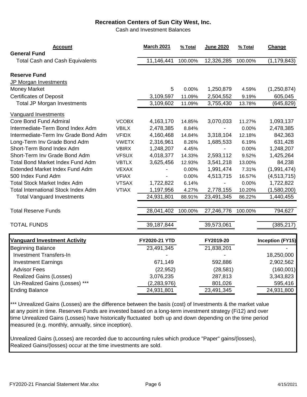Cash and Investment Balances

| <b>Account</b><br><b>General Fund</b>      |              | <b>March 2021</b> | % Total | <b>June 2020</b> | % Total | Change                  |
|--------------------------------------------|--------------|-------------------|---------|------------------|---------|-------------------------|
| <b>Total Cash and Cash Equivalents</b>     |              | 11,146,441        | 100.00% | 12,326,285       | 100.00% | (1, 179, 843)           |
| <b>Reserve Fund</b>                        |              |                   |         |                  |         |                         |
| JP Morgan Investments                      |              |                   |         |                  |         |                         |
| <b>Money Market</b>                        |              | 5                 | 0.00%   | 1,250,879        | 4.59%   | (1,250,874)             |
| <b>Certificates of Deposit</b>             |              | 3,109,597         | 11.09%  | 2,504,552        | 9.19%   | 605,045                 |
| <b>Total JP Morgan Investments</b>         |              | 3,109,602         | 11.09%  | 3,755,430        | 13.78%  | (645,829)               |
| <b>Vanguard Investments</b>                |              |                   |         |                  |         |                         |
| <b>Core Bond Fund Admiral</b>              | <b>VCOBX</b> | 4,163,170         | 14.85%  | 3,070,033        | 11.27%  | 1,093,137               |
| Intermediate-Term Bond Index Adm           | <b>VBILX</b> | 2,478,385         | 8.84%   |                  | 0.00%   | 2,478,385               |
| Intermediate-Term Inv Grade Bond Adm       | <b>VFIDX</b> | 4,160,468         | 14.84%  | 3,318,104        | 12.18%  | 842,363                 |
| Long-Term Inv Grade Bond Adm               | <b>VWETX</b> | 2,316,961         | 8.26%   | 1,685,533        | 6.19%   | 631,428                 |
| Short-Term Bond Index Adm                  | <b>VBIRX</b> | 1,248,207         | 4.45%   |                  | 0.00%   | 1,248,207               |
| Short-Term Inv Grade Bond Adm              | <b>VFSUX</b> | 4,018,377         | 14.33%  | 2,593,112        | 9.52%   | 1,425,264               |
| <b>Total Bond Market Index Fund Adm</b>    | <b>VBTLX</b> | 3,625,456         | 12.93%  | 3,541,218        | 13.00%  | 84,238                  |
| Extended Market Index Fund Adm             | <b>VEXAX</b> |                   | 0.00%   | 1,991,474        | 7.31%   | (1,991,474)             |
| 500 Index Fund Adm                         | <b>VFIAX</b> |                   | 0.00%   | 4,513,715        | 16.57%  | (4,513,715)             |
| <b>Total Stock Market Index Adm</b>        | <b>VTSAX</b> | 1,722,822         | 6.14%   |                  | 0.00%   | 1,722,822               |
| <b>Total International Stock Index Adm</b> | <b>VTIAX</b> | 1,197,956         | 4.27%   | 2,778,155        | 10.20%  | (1,580,200)             |
| <b>Total Vanguard Investments</b>          |              | 24,931,801        | 88.91%  | 23,491,345       | 86.22%  | 1,440,455               |
| <b>Total Reserve Funds</b>                 |              | 28,041,402        | 100.00% | 27,246,776       | 100.00% | 794,627                 |
|                                            |              |                   |         |                  |         |                         |
| <b>TOTAL FUNDS</b>                         |              | 39,187,844        |         | 39,573,061       |         | (385, 217)              |
| <b>Vanguard Investment Activity</b>        |              | FY2020-21 YTD     |         | FY2019-20        |         | <b>Inception (FY15)</b> |
| Beginning Balance                          |              | 23,491,345        |         | 21,838,201       |         |                         |
| <b>Investment Transfers-In</b>             |              |                   |         |                  |         | 18,250,000              |
| <b>Investment Earnings</b>                 |              | 671,149           |         | 592,886          |         | 2,902,562               |
| <b>Advisor Fees</b>                        |              | (22, 952)         |         | (28, 581)        |         | (160,001)               |
| <b>Realized Gains (Losses)</b>             |              | 3,076,235         |         | 287,813          |         | 3,343,823               |
| Un-Realized Gains (Losses) ***             |              | (2, 283, 976)     |         | 801,026          |         | 595,416                 |
| <b>Ending Balance</b>                      |              | 24,931,801        |         | 23,491,345       |         | 24,931,800              |
|                                            |              |                   |         |                  |         |                         |

\*\*\* Unrealized Gains (Losses) are the difference between the basis (cost) of Investments & the market value at any point in time. Reserves Funds are invested based on a long-term investment strategy (Fi12) and over time Unrealized Gains (Losses) have historically fluctuated both up and down depending on the time period measured (e.g. monthly, annually, since inception).

Unrealized Gains (Losses) are recorded due to accounting rules which produce "Paper" gains/(losses), Realized Gains/(losses) occur at the time investments are sold.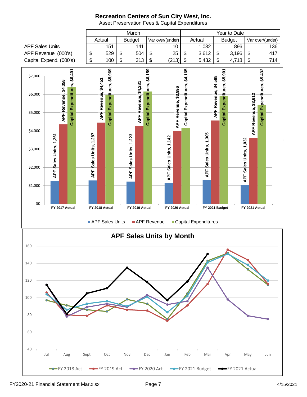

Asset Preservation Fees & Capital Expenditures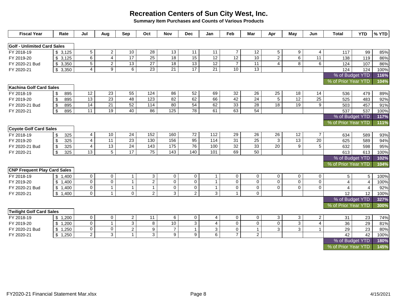**Summary Item Purchases and Counts of Various Products**

| <b>Fiscal Year</b>                  | Rate                           | Jul             | Aug             | Sep             | Oct              | <b>Nov</b>      | <b>Dec</b>      | Jan                       | Feb             | Mar             | Apr             | May            | Jun                   | <b>Total</b>        | <b>YTD</b>      | % YTD |
|-------------------------------------|--------------------------------|-----------------|-----------------|-----------------|------------------|-----------------|-----------------|---------------------------|-----------------|-----------------|-----------------|----------------|-----------------------|---------------------|-----------------|-------|
| <b>Golf - Unlimited Card Sales</b>  |                                |                 |                 |                 |                  |                 |                 |                           |                 |                 |                 |                |                       |                     |                 |       |
| FY 2018-19                          | \$3,125                        | $5\phantom{.0}$ | $\overline{2}$  | 10              | $\overline{28}$  | 13              | 11              | 11                        | $\overline{7}$  | 12              | 5               | 9              | $\overline{4}$        | 117                 | 99              | 85%   |
| FY 2019-20                          | \$3,125                        | $6\overline{6}$ | $\overline{4}$  | $\overline{17}$ | $\overline{25}$  | $\overline{18}$ | 15              | $\overline{12}$           | $\overline{12}$ | 10              | $\overline{2}$  | 6              | $\overline{11}$       | 138                 | 119             | 86%   |
| FY 2020-21 Bud                      | \$3,350                        | $\overline{5}$  | $\overline{2}$  | 13              | $\overline{27}$  | $\overline{18}$ | 13              | $\overline{12}$           | $\overline{7}$  | 11              | $\overline{4}$  | 8              | 6                     | 124                 | 107             | 86%   |
| FY 2020-21                          | \$3,350                        | $\overline{4}$  | 9               | 6               | 23               | 21              | 17              | $\overline{21}$           | 10 <sup>1</sup> | 13              |                 |                |                       | 124                 | 124             | 100%  |
|                                     |                                |                 |                 |                 |                  |                 |                 |                           |                 |                 |                 |                |                       | % of Budget YTD     |                 | 116%  |
|                                     |                                |                 |                 |                 |                  |                 |                 |                           |                 |                 |                 |                | % of Prior Year YTD   |                     | 104%            |       |
| <b>Kachina Golf Card Sales</b>      |                                |                 |                 |                 |                  |                 |                 |                           |                 |                 |                 |                |                       |                     |                 |       |
| FY 2018-19                          | 895<br>\$                      | 12              | 23              | 55              | 124              | 86              | 52              | 69                        | 32              | 26              | 25              | 18             | 14                    | 536                 | 479             | 89%   |
| FY 2019-20                          | 895<br>$\sqrt[6]{\frac{1}{2}}$ | 13              | $\overline{23}$ | 48              | 123              | 82              | 62              | 66                        | 42              | $\overline{24}$ | $\overline{5}$  | 12             | $\overline{25}$       | 525                 | 483             | 92%   |
| FY 2020-21 Bud                      | 895<br>$\sqrt[6]{\frac{1}{2}}$ | 14              | 21              | 52              | 114              | 80              | 54              | 62                        | 33              | 28              | 18              | 19             | 9                     | 503                 | 457             | 91%   |
| FY 2020-21                          | 895<br>$\sqrt[6]{\frac{1}{2}}$ | 11              | 19              | 40              | 86               | 125             | 78              | 61                        | 63              | 54              |                 |                |                       | 537                 | 537             | 100%  |
|                                     |                                |                 |                 |                 |                  |                 |                 |                           |                 |                 |                 |                |                       | % of Budget YTD     |                 | 117%  |
|                                     |                                |                 |                 |                 |                  |                 |                 |                           |                 |                 |                 |                |                       | % of Prior Year YTD |                 | 111%  |
| <b>Coyote Golf Card Sales</b>       |                                |                 |                 |                 |                  |                 |                 |                           |                 |                 |                 |                |                       |                     |                 |       |
| FY 2018-19                          | 325<br>\$                      | $\overline{4}$  | 10              | 24              | 152              | 160             | $\overline{72}$ | 112                       | 29              | 26              | 26              | 12             | $\overline{7}$        | 634                 | 589             | 93%   |
| FY 2019-20                          | \$<br>325                      | $\overline{4}$  | 11              | 23              | 130              | 156             | 95              | 114                       | 31              | 25              | 3               | 13             | 20                    | 625                 | 589             | 94%   |
| FY 2020-21 Bud                      | \$<br>325                      | $\overline{4}$  | $\overline{13}$ | $\overline{24}$ | $\frac{143}{ }$  | $\frac{175}{2}$ | $\overline{76}$ | 100                       | $\overline{32}$ | 33              | $\overline{20}$ | 9              | 5                     | 632                 | 598             | 95%   |
| FY 2020-21                          | $\mathfrak{s}$<br>325          | $\overline{13}$ | $\overline{5}$  | 17              | $\overline{75}$  | 143             | 140             | 101                       | 69              | 50              |                 |                |                       | 613                 | 613             | 100%  |
|                                     |                                |                 |                 |                 |                  |                 |                 |                           |                 |                 |                 |                |                       | % of Budget YTD     |                 | 102%  |
|                                     |                                |                 |                 |                 |                  |                 |                 |                           |                 |                 |                 |                |                       | % of Prior Year YTD |                 | 104%  |
| <b>CNP Frequent Play Card Sales</b> |                                |                 |                 |                 |                  |                 |                 |                           |                 |                 |                 |                |                       |                     |                 |       |
| FY 2018-19                          | \$1,400                        | $\mathbf 0$     | $\mathbf 0$     | $\mathbf{1}$    | 3                | 0               | $\mathbf 0$     | $\mathbf{1}$              | $\mathbf 0$     | $\mathbf 0$     | $\mathbf 0$     | 0              | 0                     | $5\phantom{.0}$     | $5\phantom{.0}$ | 100%  |
| FY 2019-20                          | \$1,400                        | $\mathbf 0$     | $\pmb{0}$       | $\mathbf{1}$    | $\overline{2}$   | $\mathsf 0$     | $\pmb{0}$       | $\mathbf{1}$              | $\mathbf 0$     | $\mathsf{O}$    | $\mathbf 0$     | $\mathbf 0$    | $\overline{0}$        | $\overline{4}$      | $\overline{4}$  | 100%  |
| FY 2020-21 Bud                      | \$1,400                        | $\overline{0}$  | $\mathbf{1}$    | $\overline{1}$  | $\mathbf{1}$     | 0               | $\mathbf 0$     | $\mathbf{1}$              | $\mathbf{0}$    | $\mathbf 0$     | $\mathbf 0$     | $\mathbf 0$    | $\mathbf 0$           | $\overline{4}$      | $\overline{4}$  | 92%   |
| FY 2020-21                          | \$1,400                        | $\overline{0}$  | $\mathbf{1}$    | $\Omega$        | $\overline{2}$   | $\overline{3}$  | $\overline{2}$  | 3                         | $\mathbf{1}$    | $\mathsf{O}$    |                 |                |                       | 12                  | 12              | 100%  |
|                                     |                                |                 |                 |                 |                  |                 |                 |                           |                 |                 |                 |                |                       | % of Budget YTD     |                 | 327%  |
|                                     |                                |                 |                 |                 |                  |                 |                 |                           |                 |                 |                 |                |                       | % of Prior Year YTD |                 | 300%  |
| <b>Twilight Golf Card Sales</b>     |                                |                 |                 |                 |                  |                 |                 |                           |                 |                 |                 |                |                       |                     |                 |       |
| FY 2018-19                          | \$1,200                        | $\mathbf 0$     | $\mathbf 0$     | $\overline{c}$  | 11               | 6               | $\mathsf{O}$    | $\overline{4}$            | $\mathbf 0$     | $\mathbf 0$     | 3               | 3              | $\mathbf{2}^{\prime}$ | 31                  | 23              | 74%   |
| FY 2019-20                          | 1,200<br>\$                    | $\overline{0}$  | $\mathbf{1}$    | $\overline{3}$  | 8                | 10              | $\overline{3}$  | $\overline{4}$            | $\Omega$        | $\mathsf{O}$    | $\mathbf 0$     | $\overline{3}$ | $\overline{4}$        | 36                  | 29              | 81%   |
| FY 2020-21 Bud                      | \$1,250                        | $\mathbf 0$     | $\mathbf 0$     | $\overline{a}$  | $\boldsymbol{9}$ | $\overline{7}$  | $\mathbf{1}$    | $\ensuremath{\mathsf{3}}$ | $\mathbf 0$     | $\mathbf{1}$    | 3               | 3              | $\mathbf{1}$          | 29                  | 23              | 80%   |
| FY 2020-21                          | $\frac{1}{2}$<br>1,250         | $\overline{2}$  | $\mathbf{3}$    | $\mathbf{1}$    | 3                | 9               | 9               | 6                         | $\overline{7}$  | $\overline{a}$  |                 |                |                       | 42                  | 42              | 100%  |
|                                     |                                |                 |                 |                 |                  |                 |                 |                           |                 |                 |                 |                |                       | % of Budget YTD     |                 | 180%  |
|                                     |                                |                 |                 |                 |                  |                 |                 |                           |                 |                 |                 |                |                       | % of Prior Year YTD |                 | 145%  |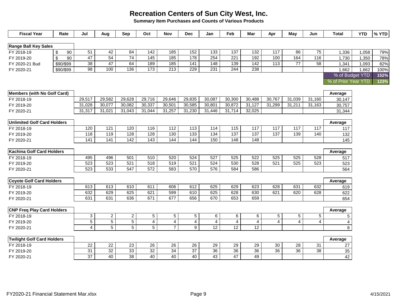**Summary Item Purchases and Counts of Various Products**

| <b>Fiscal Year</b>                 |                | Rate      | Jul             | Aug             | Sep             | Oct             | <b>Nov</b>       | <b>Dec</b>      | Jan                     | Feb            | Mar             | Apr             | May             | Jun                     | Total               | <b>YTD</b> | % YTD |
|------------------------------------|----------------|-----------|-----------------|-----------------|-----------------|-----------------|------------------|-----------------|-------------------------|----------------|-----------------|-----------------|-----------------|-------------------------|---------------------|------------|-------|
|                                    |                |           |                 |                 |                 |                 |                  |                 |                         |                |                 |                 |                 |                         |                     |            |       |
| <b>Range Ball Key Sales</b>        |                |           |                 |                 |                 |                 |                  |                 |                         |                |                 |                 |                 |                         |                     |            |       |
| FY 2018-19                         | \$             | 90        | $\overline{51}$ | 42              | 84              | 142             | 185              | 152             | 133                     | 137            | 132             | $\frac{1}{117}$ | 86              | 75                      | 1,336               | 1,058      | 79%   |
| FY 2019-20                         | $\mathfrak{s}$ | 90        | 47              | 54              | $\overline{74}$ | 145             | 185              | 178             | 254                     | 221            | 192             | 100             | 164             | 116                     | 1,730               | 1,350      | 78%   |
| FY 2020-21 Bud                     |                | \$90/\$99 | 38              | 47              | 64              | 189             | 185              | 141             | 148                     | 139            | $\frac{1}{142}$ | $\frac{1}{13}$  | $\overline{77}$ | 58                      | 1,341               | 1,093      | 82%   |
| FY 2020-21                         |                | \$90/\$99 | 98              | 100             | 136             | 173             | $\overline{213}$ | 229             | 231                     | 244            | 238             |                 |                 |                         | 1,662               | 1,662      | 100%  |
|                                    |                |           |                 |                 |                 |                 |                  |                 |                         |                |                 |                 |                 |                         | % of Budget YTD     |            | 152%  |
|                                    |                |           |                 |                 |                 |                 |                  |                 |                         |                |                 |                 |                 |                         | % of Prior Year YTD |            | 123%  |
|                                    |                |           |                 |                 |                 |                 |                  |                 |                         |                |                 |                 |                 |                         |                     |            |       |
| <b>Members (with No Golf Card)</b> |                |           |                 |                 |                 |                 |                  |                 |                         |                |                 |                 |                 |                         | Average             |            |       |
| FY 2018-19                         |                |           | 29,517          | 29,582          | 29,628          | 29,716          | 29,646           | 29,835          | 30.087                  | 30,300         | 30,488          | 30,767          | 31,039          | 31,160                  | 30,147              |            |       |
| FY 2019-20                         |                |           | 31,028          | 30,077          | 30,082          | 30,337          | 30,501           | 30,585          | 30,801                  | 30,872         | 31,127          | 31,299          | 31,211          | 31,163                  | 30,757              |            |       |
| FY 2020-21                         |                |           | 31,317          | 31,021          | 31,043          | 31,044          | 31,257           | 31,230          | 31,446                  | 31,714         | 32,025          |                 |                 |                         | 31,344              |            |       |
|                                    |                |           |                 |                 |                 |                 |                  |                 |                         |                |                 |                 |                 |                         |                     |            |       |
| <b>Unlimited Golf Card Holders</b> |                |           |                 |                 |                 |                 |                  |                 |                         |                |                 |                 |                 |                         | Average             |            |       |
| FY 2018-19                         |                |           | 120             | 121             | 120             | 116             | 112              | 113             | 114                     | 115            | 117             | 117             | 117             | 117                     | 117                 |            |       |
| FY 2019-20                         |                |           | 118             | 119             | 128             | 128             | 130              | 133             | 134                     | 137            | 137             | 137             | 139             | 140                     | 132                 |            |       |
| FY 2020-21                         |                |           | 141             | 141             | 142             | $\frac{143}{ }$ | 144              | 144             | 150                     | 148            | 148             |                 |                 |                         | 145                 |            |       |
|                                    |                |           |                 |                 |                 |                 |                  |                 |                         |                |                 |                 |                 |                         |                     |            |       |
| <b>Kachina Golf Card Holders</b>   |                |           |                 |                 |                 |                 |                  |                 |                         |                |                 |                 |                 |                         | Average             |            |       |
| FY 2018-19                         |                |           | 495             | 496             | 501             | 510             | 520              | 524             | 527                     | 525            | 522             | 525             | 525             | 528                     | 517                 |            |       |
| FY 2019-20                         |                |           | 523             | 523             | 521             | 518             | 519              | 521             | 524                     | 530            | 528             | 521             | 525             | 523                     | 523                 |            |       |
| FY 2020-21                         |                |           | 523             | 533             | 547             | 572             | 583              | 570             | 576                     | 584            | 586             |                 |                 |                         | 564                 |            |       |
|                                    |                |           |                 |                 |                 |                 |                  |                 |                         |                |                 |                 |                 |                         |                     |            |       |
| <b>Coyote Golf Card Holders</b>    |                |           |                 |                 |                 |                 |                  |                 |                         |                |                 |                 |                 |                         | Average             |            |       |
| FY 2018-19                         |                |           | 613             | 613             | 610<br>625      | 611<br>621      | 606              | 612             | 625                     | 629            | 623             | 628<br>621      | 631<br>620      | 632                     | 619                 |            |       |
| FY 2019-20                         |                |           | 632             | 629             |                 |                 | 599              | 610             | 625                     | 628            | 630             |                 |                 | 628                     | 622                 |            |       |
| FY 2020-21                         |                |           | 631             | 631             | 636             | 671             | 677              | 656             | 670                     | 653            | 659             |                 |                 |                         | 654                 |            |       |
| <b>CNP Freq Play Card Holders</b>  |                |           |                 |                 |                 |                 |                  |                 |                         |                |                 |                 |                 |                         | Average             |            |       |
| FY 2018-19                         |                |           | 3               | $\overline{2}$  | $\overline{2}$  | 5               | 5                | 5               | 6                       | 6              | 6               | 5               | $\sqrt{5}$      | 5                       | 5                   |            |       |
| FY 2019-20                         |                |           | $\overline{5}$  | $\overline{5}$  | $\overline{5}$  | $\overline{4}$  | 4                | $\overline{4}$  | $\overline{\mathbf{4}}$ | $\overline{4}$ | $\overline{4}$  | $\overline{4}$  | $\overline{4}$  | $\overline{\mathbf{4}}$ | 4                   |            |       |
| FY 2020-21                         |                |           | $\overline{4}$  | 5               | 5               | 5               | $\overline{7}$   | 9               | $\overline{12}$         | 12             | 12              |                 |                 |                         | 8                   |            |       |
|                                    |                |           |                 |                 |                 |                 |                  |                 |                         |                |                 |                 |                 |                         |                     |            |       |
| <b>Twilight Golf Card Holders</b>  |                |           |                 |                 |                 |                 |                  |                 |                         |                |                 |                 |                 |                         | Average             |            |       |
| FY 2018-19                         |                |           | 22              | 22              | 23              | 26              | 26               | 26              | 29                      | 29             | 29              | 30              | 28              | 31                      | 27                  |            |       |
| FY 2019-20                         |                |           | 31              | $\overline{32}$ | 33              | 32              | 34               | $\overline{37}$ | 36                      | 36             | 36              | 36              | $\overline{36}$ | 38                      | 35                  |            |       |
| FY 2020-21                         |                |           | 37              | 40              | 38              | 40              | 40               | 40              | 43                      | 47             | 49              |                 |                 |                         | 42                  |            |       |
|                                    |                |           |                 |                 |                 |                 |                  |                 |                         |                |                 |                 |                 |                         |                     |            |       |